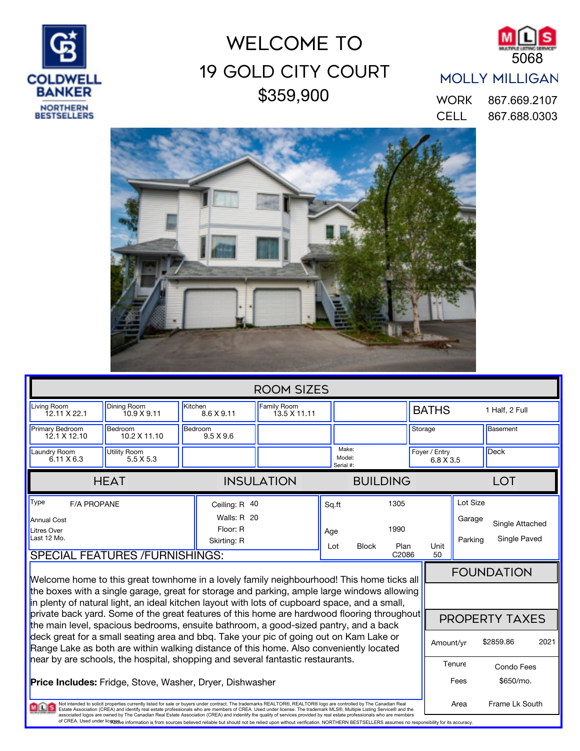

## \$359,900 19 Gold City Court WELCOME TO



## MOLLY MILLIGAN

CELL 867.688.0303 WORK 867.669.2107



| <b>ROOM SIZES</b>                                                                                                                                                                                                                                                                                                                                                                                                                                                                                                                                                                                                                                                                                                                    |                                   |                             |                                    |  |                                     |                                             |              |                               |                                 |      |
|--------------------------------------------------------------------------------------------------------------------------------------------------------------------------------------------------------------------------------------------------------------------------------------------------------------------------------------------------------------------------------------------------------------------------------------------------------------------------------------------------------------------------------------------------------------------------------------------------------------------------------------------------------------------------------------------------------------------------------------|-----------------------------------|-----------------------------|------------------------------------|--|-------------------------------------|---------------------------------------------|--------------|-------------------------------|---------------------------------|------|
| Living Room<br>12.11 X 22.1                                                                                                                                                                                                                                                                                                                                                                                                                                                                                                                                                                                                                                                                                                          | <b>Dining Room</b><br>10.9 X 9.11 | Kitchen<br>8.6 X 9.11       | <b>Family Room</b><br>13.5 X 11.11 |  |                                     |                                             | <b>BATHS</b> |                               | 1 Half, 2 Full                  |      |
| <b>Primary Bedroom</b><br>12.1 X 12.10                                                                                                                                                                                                                                                                                                                                                                                                                                                                                                                                                                                                                                                                                               | Bedroom<br>10.2 X 11.10           | Bedroom<br>$9.5 \times 9.6$ |                                    |  |                                     |                                             | Storage      |                               | Basement                        |      |
| Laundry Room<br>$6.11 \times 6.3$                                                                                                                                                                                                                                                                                                                                                                                                                                                                                                                                                                                                                                                                                                    | <b>Utility Room</b><br>5.5 X 5.3  |                             | Make:<br>Serial #:                 |  | Model:                              | Foyer / Entry<br>6.8 X 3.5                  |              |                               | <b>Deck</b>                     |      |
|                                                                                                                                                                                                                                                                                                                                                                                                                                                                                                                                                                                                                                                                                                                                      | <b>HEAT</b>                       |                             | <b>INSULATION</b>                  |  | <b>BUILDING</b>                     |                                             |              |                               | <b>LOT</b>                      |      |
| Type<br><b>F/A PROPANE</b><br><b>Annual Cost</b><br><b>Litres Over</b><br>Last 12 Mo.<br><b>SPECIAL FEATURES /FURNISHINGS:</b>                                                                                                                                                                                                                                                                                                                                                                                                                                                                                                                                                                                                       |                                   | Floor: R<br>Skirting: R     | Ceiling: R 40<br>Walls: R 20       |  | Sq.ft<br>Age<br><b>Block</b><br>Lot | 1305<br>1990<br>Plan<br>Unit<br>C2086<br>50 |              | Lot Size<br>Garage<br>Parking | Single Attached<br>Single Paved |      |
| <b>FOUNDATION</b><br>Welcome home to this great townhome in a lovely family neighbourhood! This home ticks all<br>the boxes with a single garage, great for storage and parking, ample large windows allowing<br>in plenty of natural light, an ideal kitchen layout with lots of cupboard space, and a small,                                                                                                                                                                                                                                                                                                                                                                                                                       |                                   |                             |                                    |  |                                     |                                             |              |                               |                                 |      |
| private back yard. Some of the great features of this home are hardwood flooring throughout<br>the main level, spacious bedrooms, ensuite bathroom, a good-sized pantry, and a back<br>deck great for a small seating area and bbq. Take your pic of going out on Kam Lake or<br>Range Lake as both are within walking distance of this home. Also conveniently located                                                                                                                                                                                                                                                                                                                                                              |                                   |                             |                                    |  |                                     |                                             |              | Amount/yr                     | PROPERTY TAXES<br>\$2859.86     | 2021 |
| near by are schools, the hospital, shopping and several fantastic restaurants.<br><b>Price Includes:</b> Fridge, Stove, Washer, Dryer, Dishwasher                                                                                                                                                                                                                                                                                                                                                                                                                                                                                                                                                                                    |                                   |                             |                                    |  |                                     |                                             |              | Tenure<br>Fees                | Condo Fees<br>\$650/mo.         |      |
| Not intended to solicit properties currently listed for sale or buyers under contract. The trademarks REALTOR®, REALTOR® logo are controlled by The Canadian Real<br><b>MILES</b><br>Estate Association (CREA) and identify real estate professionals who are members of CREA. Used under license. The trademark MLS®, Multiple Listing Service® and the<br>associated logos are owned by The Canadian Real Estate Association (CREA) and indentify the quality of services provided by real estate professionals who are members<br>of CREA. Used under licotis winformation is from sources believed reliable but should not be relied upon without verification. NORTHERN BESTSELLERS assumes no responsibility for its accuracy. |                                   |                             |                                    |  |                                     |                                             |              | Frame Lk South<br>Area        |                                 |      |
|                                                                                                                                                                                                                                                                                                                                                                                                                                                                                                                                                                                                                                                                                                                                      |                                   |                             |                                    |  |                                     |                                             |              |                               |                                 |      |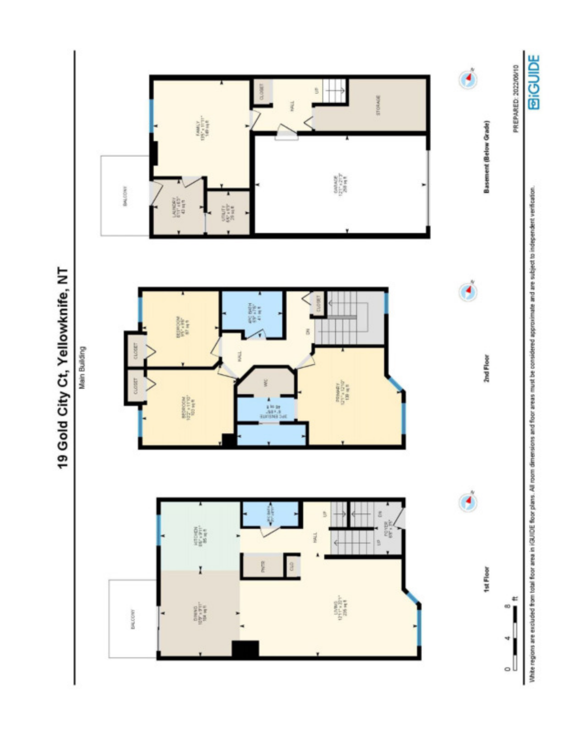

19 Gold City Ct, Yellowknife, NT

White regions are excluded from total floor area in iGUIDE floor plans. All room aims and are considered approximate and are subject to independent verification.